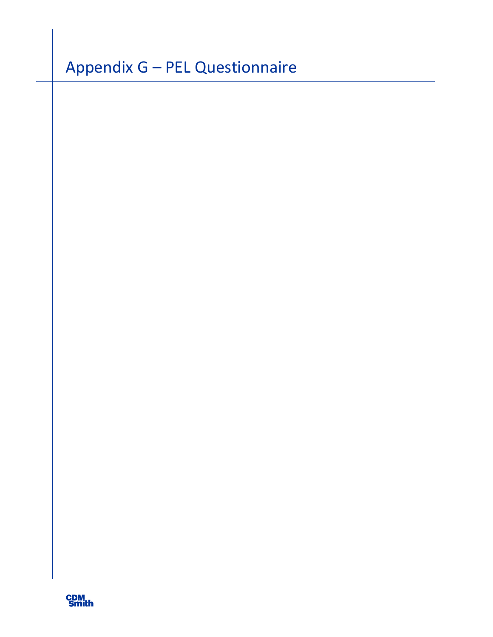# Appendix G – PEL Questionnaire

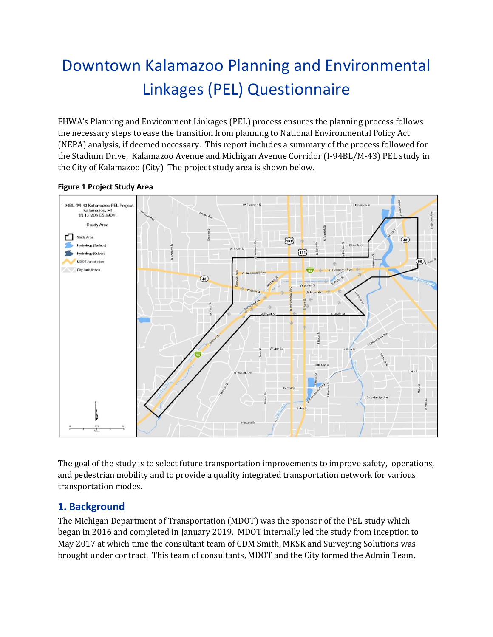## Downtown Kalamazoo Planning and Environmental Linkages (PEL) Questionnaire

FHWA's Planning and Environment Linkages (PEL) process ensures the planning process follows the necessary steps to ease the transition from planning to National Environmental Policy Act (NEPA) analysis, if deemed necessary. This report includes a summary of the process followed for the Stadium Drive, Kalamazoo Avenue and Michigan Avenue Corridor (I-94BL/M-43) PEL study in the City of Kalamazoo (City) The project study area is shown below.



**Figure 1 Project Study Area**

The goal of the study is to select future transportation improvements to improve safety, operations, and pedestrian mobility and to provide a quality integrated transportation network for various transportation modes.

#### **1. Background**

The Michigan Department of Transportation (MDOT) was the sponsor of the PEL study which began in 2016 and completed in January 2019. MDOT internally led the study from inception to May 2017 at which time the consultant team of CDM Smith, MKSK and Surveying Solutions was brought under contract. This team of consultants, MDOT and the City formed the Admin Team.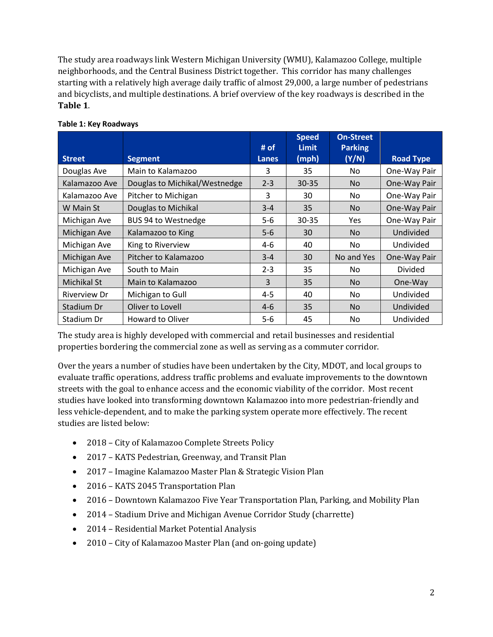The study area roadways link Western Michigan University (WMU), Kalamazoo College, multiple neighborhoods, and the Central Business District together. This corridor has many challenges starting with a relatively high average daily traffic of almost 29,000, a large number of pedestrians and bicyclists, and multiple destinations. A brief overview of the key roadways is described in the **Table 1**.

|                     |                               | # of         | <b>Speed</b><br><b>Limit</b> | <b>On-Street</b><br><b>Parking</b> |                  |
|---------------------|-------------------------------|--------------|------------------------------|------------------------------------|------------------|
| <b>Street</b>       | <b>Segment</b>                | <b>Lanes</b> | (mph)                        | (Y/N)                              | <b>Road Type</b> |
| Douglas Ave         | Main to Kalamazoo             | 3            | 35                           | No                                 | One-Way Pair     |
| Kalamazoo Ave       | Douglas to Michikal/Westnedge | $2 - 3$      | $30 - 35$                    | <b>No</b>                          | One-Way Pair     |
| Kalamazoo Ave       | Pitcher to Michigan           | 3            | 30                           | No                                 | One-Way Pair     |
| W Main St           | Douglas to Michikal           | $3 - 4$      | 35                           | <b>No</b>                          | One-Way Pair     |
| Michigan Ave        | BUS 94 to Westnedge           | $5 - 6$      | 30-35                        | <b>Yes</b>                         | One-Way Pair     |
| Michigan Ave        | Kalamazoo to King             | $5-6$        | 30                           | <b>No</b>                          | Undivided        |
| Michigan Ave        | King to Riverview             | 4-6          | 40                           | No.                                | Undivided        |
| Michigan Ave        | Pitcher to Kalamazoo          | $3 - 4$      | 30                           | No and Yes                         | One-Way Pair     |
| Michigan Ave        | South to Main                 | $2 - 3$      | 35                           | No                                 | <b>Divided</b>   |
| Michikal St         | Main to Kalamazoo             | 3            | 35                           | <b>No</b>                          | One-Way          |
| <b>Riverview Dr</b> | Michigan to Gull              | $4 - 5$      | 40                           | No                                 | Undivided        |
| Stadium Dr          | Oliver to Lovell              | $4 - 6$      | 35                           | <b>No</b>                          | Undivided        |
| Stadium Dr          | <b>Howard to Oliver</b>       | $5 - 6$      | 45                           | No.                                | Undivided        |

#### **Table 1: Key Roadways**

The study area is highly developed with commercial and retail businesses and residential properties bordering the commercial zone as well as serving as a commuter corridor.

Over the years a number of studies have been undertaken by the City, MDOT, and local groups to evaluate traffic operations, address traffic problems and evaluate improvements to the downtown streets with the goal to enhance access and the economic viability of the corridor. Most recent studies have looked into transforming downtown Kalamazoo into more pedestrian-friendly and less vehicle-dependent, and to make the parking system operate more effectively. The recent studies are listed below:

- 2018 City of Kalamazoo Complete Streets Policy
- 2017 KATS Pedestrian, Greenway, and Transit Plan
- 2017 Imagine Kalamazoo Master Plan & Strategic Vision Plan
- 2016 KATS 2045 Transportation Plan
- 2016 Downtown Kalamazoo Five Year Transportation Plan, Parking, and Mobility Plan
- 2014 Stadium Drive and Michigan Avenue Corridor Study (charrette)
- 2014 Residential Market Potential Analysis
- 2010 City of Kalamazoo Master Plan (and on-going update)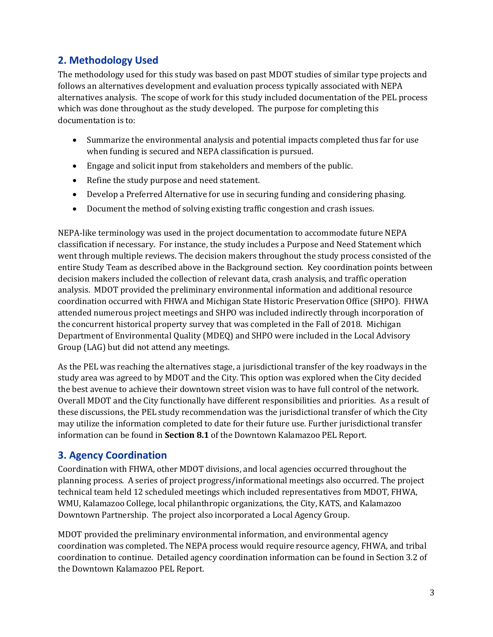### **2. Methodology Used**

The methodology used for this study was based on past MDOT studies of similar type projects and follows an alternatives development and evaluation process typically associated with NEPA alternatives analysis. The scope of work for this study included documentation of the PEL process which was done throughout as the study developed. The purpose for completing this documentation is to:

- Summarize the environmental analysis and potential impacts completed thus far for use when funding is secured and NEPA classification is pursued.
- Engage and solicit input from stakeholders and members of the public.
- Refine the study purpose and need statement.
- Develop a Preferred Alternative for use in securing funding and considering phasing.
- Document the method of solving existing traffic congestion and crash issues.

NEPA-like terminology was used in the project documentation to accommodate future NEPA classification if necessary. For instance, the study includes a Purpose and Need Statement which went through multiple reviews. The decision makers throughout the study process consisted of the entire Study Team as described above in the Background section. Key coordination points between decision makers included the collection of relevant data, crash analysis, and traffic operation analysis. MDOT provided the preliminary environmental information and additional resource coordination occurred with FHWA and Michigan State Historic Preservation Office (SHPO). FHWA attended numerous project meetings and SHPO was included indirectly through incorporation of the concurrent historical property survey that was completed in the Fall of 2018. Michigan Department of Environmental Quality (MDEQ) and SHPO were included in the Local Advisory Group (LAG) but did not attend any meetings.

As the PEL was reaching the alternatives stage, a jurisdictional transfer of the key roadways in the study area was agreed to by MDOT and the City. This option was explored when the City decided the best avenue to achieve their downtown street vision was to have full control of the network. Overall MDOT and the City functionally have different responsibilities and priorities. As a result of these discussions, the PEL study recommendation was the jurisdictional transfer of which the City may utilize the information completed to date for their future use. Further jurisdictional transfer information can be found in **Section 8.1** of the Downtown Kalamazoo PEL Report.

#### **3. Agency Coordination**

Coordination with FHWA, other MDOT divisions, and local agencies occurred throughout the planning process. A series of project progress/informational meetings also occurred. The project technical team held 12 scheduled meetings which included representatives from MDOT, FHWA, WMU, Kalamazoo College, local philanthropic organizations, the City, KATS, and Kalamazoo Downtown Partnership. The project also incorporated a Local Agency Group.

MDOT provided the preliminary environmental information, and environmental agency coordination was completed. The NEPA process would require resource agency, FHWA, and tribal coordination to continue. Detailed agency coordination information can be found in Section 3.2 of the Downtown Kalamazoo PEL Report.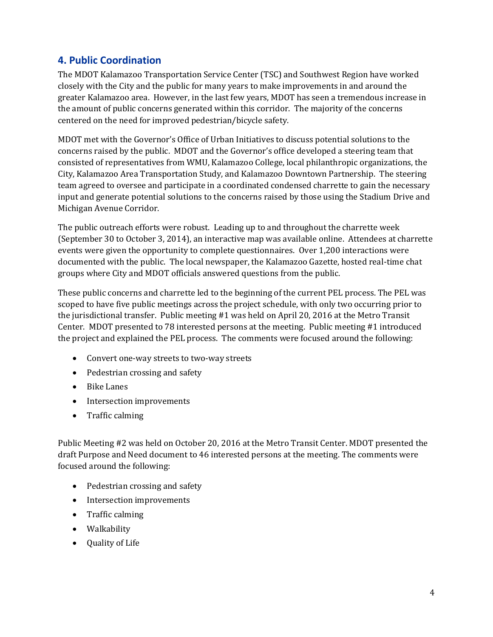#### **4. Public Coordination**

The MDOT Kalamazoo Transportation Service Center (TSC) and Southwest Region have worked closely with the City and the public for many years to make improvements in and around the greater Kalamazoo area. However, in the last few years, MDOT has seen a tremendous increase in the amount of public concerns generated within this corridor. The majority of the concerns centered on the need for improved pedestrian/bicycle safety.

MDOT met with the Governor's Office of Urban Initiatives to discuss potential solutions to the concerns raised by the public. MDOT and the Governor's office developed a steering team that consisted of representatives from WMU, Kalamazoo College, local philanthropic organizations, the City, Kalamazoo Area Transportation Study, and Kalamazoo Downtown Partnership. The steering team agreed to oversee and participate in a coordinated condensed charrette to gain the necessary input and generate potential solutions to the concerns raised by those using the Stadium Drive and Michigan Avenue Corridor.

The public outreach efforts were robust. Leading up to and throughout the charrette week (September 30 to October 3, 2014), an interactive map was available online. Attendees at charrette events were given the opportunity to complete questionnaires. Over 1,200 interactions were documented with the public. The local newspaper, the Kalamazoo Gazette, hosted real-time chat groups where City and MDOT officials answered questions from the public.

These public concerns and charrette led to the beginning of the current PEL process. The PEL was scoped to have five public meetings across the project schedule, with only two occurring prior to the jurisdictional transfer. Public meeting #1 was held on April 20, 2016 at the Metro Transit Center. MDOT presented to 78 interested persons at the meeting. Public meeting #1 introduced the project and explained the PEL process. The comments were focused around the following:

- Convert one-way streets to two-way streets
- Pedestrian crossing and safety
- Bike Lanes
- Intersection improvements
- Traffic calming

Public Meeting #2 was held on October 20, 2016 at the Metro Transit Center. MDOT presented the draft Purpose and Need document to 46 interested persons at the meeting. The comments were focused around the following:

- Pedestrian crossing and safety
- Intersection improvements
- Traffic calming
- Walkability
- Quality of Life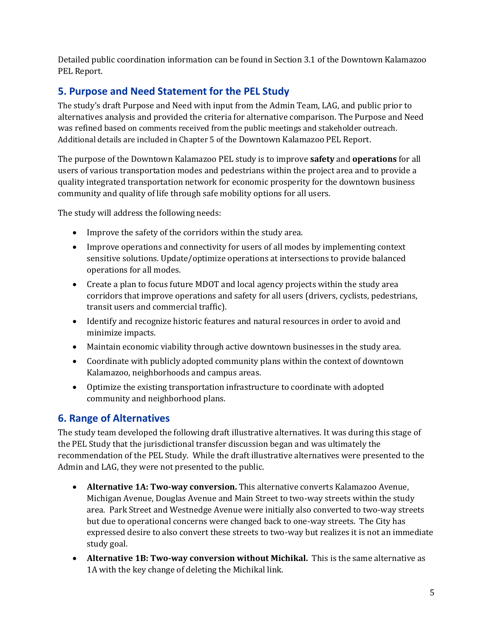Detailed public coordination information can be found in Section 3.1 of the Downtown Kalamazoo PEL Report.

#### **5. Purpose and Need Statement for the PEL Study**

The study's draft Purpose and Need with input from the Admin Team, LAG, and public prior to alternatives analysis and provided the criteria for alternative comparison. The Purpose and Need was refined based on comments received from the public meetings and stakeholder outreach. Additional details are included in Chapter 5 of the Downtown Kalamazoo PEL Report.

The purpose of the Downtown Kalamazoo PEL study is to improve **safety** and **operations** for all users of various transportation modes and pedestrians within the project area and to provide a quality integrated transportation network for economic prosperity for the downtown business community and quality of life through safe mobility options for all users.

The study will address the following needs:

- Improve the safety of the corridors within the study area.
- Improve operations and connectivity for users of all modes by implementing context sensitive solutions. Update/optimize operations at intersections to provide balanced operations for all modes.
- Create a plan to focus future MDOT and local agency projects within the study area corridors that improve operations and safety for all users (drivers, cyclists, pedestrians, transit users and commercial traffic).
- Identify and recognize historic features and natural resources in order to avoid and minimize impacts.
- Maintain economic viability through active downtown businesses in the study area.
- Coordinate with publicly adopted community plans within the context of downtown Kalamazoo, neighborhoods and campus areas.
- Optimize the existing transportation infrastructure to coordinate with adopted community and neighborhood plans.

#### **6. Range of Alternatives**

The study team developed the following draft illustrative alternatives. It was during this stage of the PEL Study that the jurisdictional transfer discussion began and was ultimately the recommendation of the PEL Study. While the draft illustrative alternatives were presented to the Admin and LAG, they were not presented to the public.

- **Alternative 1A: Two-way conversion.** This alternative converts Kalamazoo Avenue, Michigan Avenue, Douglas Avenue and Main Street to two-way streets within the study area. Park Street and Westnedge Avenue were initially also converted to two-way streets but due to operational concerns were changed back to one-way streets. The City has expressed desire to also convert these streets to two-way but realizes it is not an immediate study goal.
- **Alternative 1B: Two-way conversion without Michikal.** This is the same alternative as 1A with the key change of deleting the Michikal link.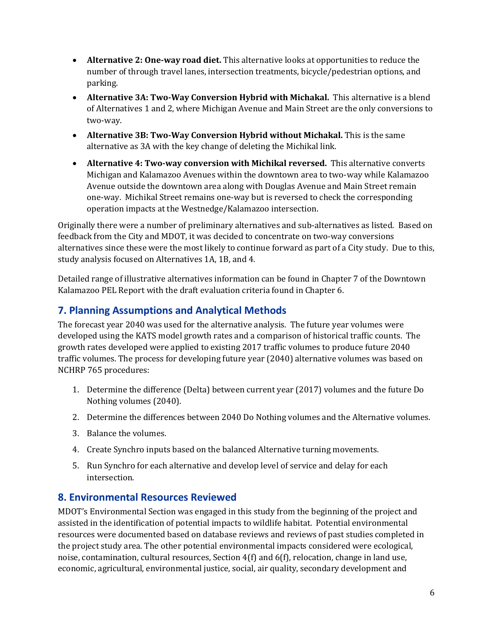- **Alternative 2: One-way road diet.** This alternative looks at opportunities to reduce the number of through travel lanes, intersection treatments, bicycle/pedestrian options, and parking.
- **Alternative 3A: Two-Way Conversion Hybrid with Michakal.** This alternative is a blend of Alternatives 1 and 2, where Michigan Avenue and Main Street are the only conversions to two-way.
- **Alternative 3B: Two-Way Conversion Hybrid without Michakal.** This is the same alternative as 3A with the key change of deleting the Michikal link.
- **Alternative 4: Two-way conversion with Michikal reversed.** This alternative converts Michigan and Kalamazoo Avenues within the downtown area to two-way while Kalamazoo Avenue outside the downtown area along with Douglas Avenue and Main Street remain one-way. Michikal Street remains one-way but is reversed to check the corresponding operation impacts at the Westnedge/Kalamazoo intersection.

Originally there were a number of preliminary alternatives and sub-alternatives as listed. Based on feedback from the City and MDOT, it was decided to concentrate on two-way conversions alternatives since these were the most likely to continue forward as part of a City study. Due to this, study analysis focused on Alternatives 1A, 1B, and 4.

Detailed range of illustrative alternatives information can be found in Chapter 7 of the Downtown Kalamazoo PEL Report with the draft evaluation criteria found in Chapter 6.

#### **7. Planning Assumptions and Analytical Methods**

The forecast year 2040 was used for the alternative analysis. The future year volumes were developed using the KATS model growth rates and a comparison of historical traffic counts. The growth rates developed were applied to existing 2017 traffic volumes to produce future 2040 traffic volumes. The process for developing future year (2040) alternative volumes was based on NCHRP 765 procedures:

- 1. Determine the difference (Delta) between current year (2017) volumes and the future Do Nothing volumes (2040).
- 2. Determine the differences between 2040 Do Nothing volumes and the Alternative volumes.
- 3. Balance the volumes.
- 4. Create Synchro inputs based on the balanced Alternative turning movements.
- 5. Run Synchro for each alternative and develop level of service and delay for each intersection.

#### **8. Environmental Resources Reviewed**

MDOT's Environmental Section was engaged in this study from the beginning of the project and assisted in the identification of potential impacts to wildlife habitat. Potential environmental resources were documented based on database reviews and reviews of past studies completed in the project study area. The other potential environmental impacts considered were ecological, noise, contamination, cultural resources, Section 4(f) and 6(f), relocation, change in land use, economic, agricultural, environmental justice, social, air quality, secondary development and